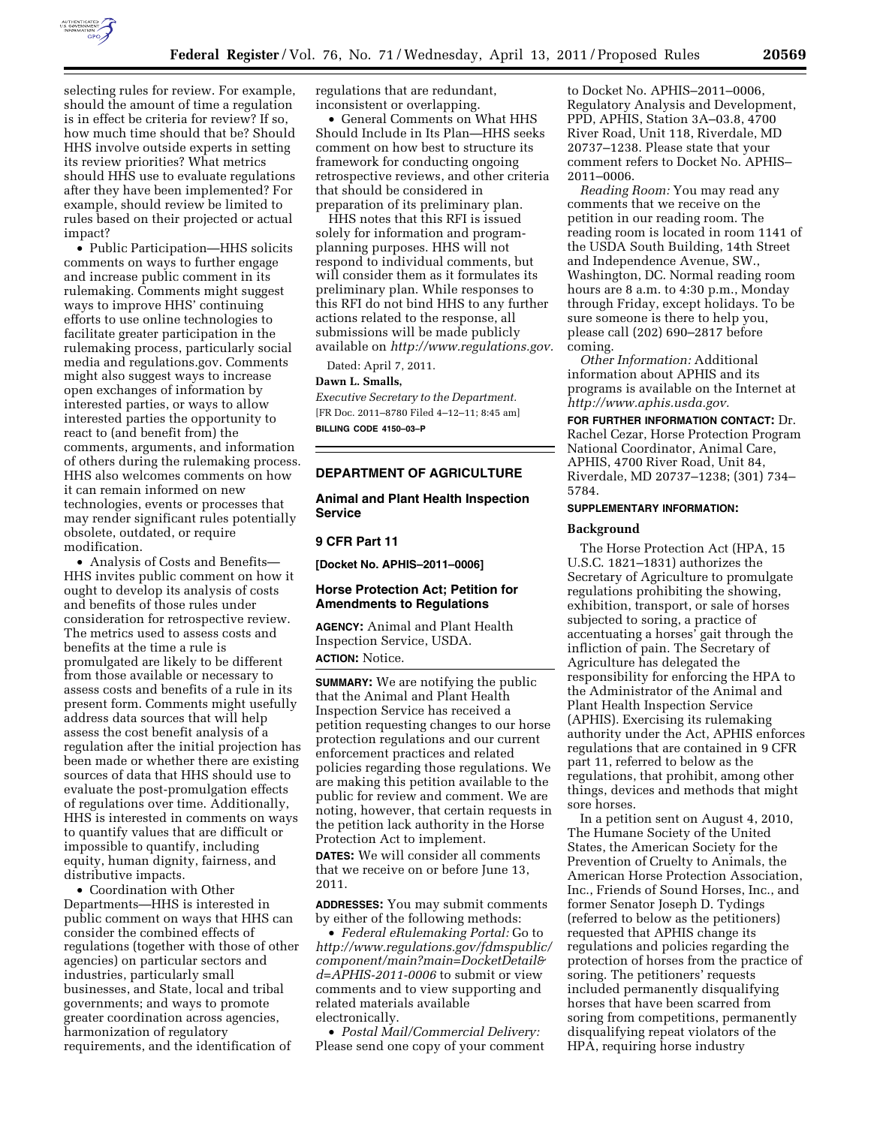

selecting rules for review. For example, should the amount of time a regulation is in effect be criteria for review? If so, how much time should that be? Should HHS involve outside experts in setting its review priorities? What metrics should HHS use to evaluate regulations after they have been implemented? For example, should review be limited to rules based on their projected or actual impact?

• Public Participation—HHS solicits comments on ways to further engage and increase public comment in its rulemaking. Comments might suggest ways to improve HHS' continuing efforts to use online technologies to facilitate greater participation in the rulemaking process, particularly social media and regulations.gov. Comments might also suggest ways to increase open exchanges of information by interested parties, or ways to allow interested parties the opportunity to react to (and benefit from) the comments, arguments, and information of others during the rulemaking process. HHS also welcomes comments on how it can remain informed on new technologies, events or processes that may render significant rules potentially obsolete, outdated, or require modification.

• Analysis of Costs and Benefits— HHS invites public comment on how it ought to develop its analysis of costs and benefits of those rules under consideration for retrospective review. The metrics used to assess costs and benefits at the time a rule is promulgated are likely to be different from those available or necessary to assess costs and benefits of a rule in its present form. Comments might usefully address data sources that will help assess the cost benefit analysis of a regulation after the initial projection has been made or whether there are existing sources of data that HHS should use to evaluate the post-promulgation effects of regulations over time. Additionally, HHS is interested in comments on ways to quantify values that are difficult or impossible to quantify, including equity, human dignity, fairness, and distributive impacts.

• Coordination with Other Departments—HHS is interested in public comment on ways that HHS can consider the combined effects of regulations (together with those of other agencies) on particular sectors and industries, particularly small businesses, and State, local and tribal governments; and ways to promote greater coordination across agencies, harmonization of regulatory requirements, and the identification of

regulations that are redundant, inconsistent or overlapping.

• General Comments on What HHS Should Include in Its Plan—HHS seeks comment on how best to structure its framework for conducting ongoing retrospective reviews, and other criteria that should be considered in preparation of its preliminary plan.

HHS notes that this RFI is issued solely for information and programplanning purposes. HHS will not respond to individual comments, but will consider them as it formulates its preliminary plan. While responses to this RFI do not bind HHS to any further actions related to the response, all submissions will be made publicly available on *[http://www.regulations.gov.](http://www.regulations.gov)* 

Dated: April 7, 2011.

#### **Dawn L. Smalls,**

*Executive Secretary to the Department.*  [FR Doc. 2011–8780 Filed 4–12–11; 8:45 am] **BILLING CODE 4150–03–P** 

### **DEPARTMENT OF AGRICULTURE**

**Animal and Plant Health Inspection Service** 

## **9 CFR Part 11**

**[Docket No. APHIS–2011–0006]** 

### **Horse Protection Act; Petition for Amendments to Regulations**

**AGENCY:** Animal and Plant Health Inspection Service, USDA. **ACTION:** Notice.

**SUMMARY:** We are notifying the public that the Animal and Plant Health Inspection Service has received a petition requesting changes to our horse protection regulations and our current enforcement practices and related policies regarding those regulations. We are making this petition available to the public for review and comment. We are noting, however, that certain requests in the petition lack authority in the Horse Protection Act to implement.

**DATES:** We will consider all comments that we receive on or before June 13, 2011.

**ADDRESSES:** You may submit comments by either of the following methods:

• *Federal eRulemaking Portal:* Go to *[http://www.regulations.gov/fdmspublic/](http://www.regulations.gov/fdmspublic/component/main?main=DocketDetail&d=APHIS-2011-0006) [component/main?main=DocketDetail&](http://www.regulations.gov/fdmspublic/component/main?main=DocketDetail&d=APHIS-2011-0006) [d=APHIS-2011-0006](http://www.regulations.gov/fdmspublic/component/main?main=DocketDetail&d=APHIS-2011-0006)* to submit or view comments and to view supporting and related materials available electronically.

• *Postal Mail/Commercial Delivery:*  Please send one copy of your comment

to Docket No. APHIS–2011–0006, Regulatory Analysis and Development, PPD, APHIS, Station 3A–03.8, 4700 River Road, Unit 118, Riverdale, MD 20737–1238. Please state that your comment refers to Docket No. APHIS– 2011–0006.

*Reading Room:* You may read any comments that we receive on the petition in our reading room. The reading room is located in room 1141 of the USDA South Building, 14th Street and Independence Avenue, SW., Washington, DC. Normal reading room hours are 8 a.m. to 4:30 p.m., Monday through Friday, except holidays. To be sure someone is there to help you, please call (202) 690–2817 before coming.

*Other Information:* Additional information about APHIS and its programs is available on the Internet at *[http://www.aphis.usda.gov.](http://www.aphis.usda.gov)* 

**FOR FURTHER INFORMATION CONTACT:** Dr. Rachel Cezar, Horse Protection Program National Coordinator, Animal Care, APHIS, 4700 River Road, Unit 84, Riverdale, MD 20737–1238; (301) 734– 5784.

## **SUPPLEMENTARY INFORMATION:**

### **Background**

The Horse Protection Act (HPA, 15 U.S.C. 1821–1831) authorizes the Secretary of Agriculture to promulgate regulations prohibiting the showing, exhibition, transport, or sale of horses subjected to soring, a practice of accentuating a horses' gait through the infliction of pain. The Secretary of Agriculture has delegated the responsibility for enforcing the HPA to the Administrator of the Animal and Plant Health Inspection Service (APHIS). Exercising its rulemaking authority under the Act, APHIS enforces regulations that are contained in 9 CFR part 11, referred to below as the regulations, that prohibit, among other things, devices and methods that might sore horses.

In a petition sent on August 4, 2010, The Humane Society of the United States, the American Society for the Prevention of Cruelty to Animals, the American Horse Protection Association, Inc., Friends of Sound Horses, Inc., and former Senator Joseph D. Tydings (referred to below as the petitioners) requested that APHIS change its regulations and policies regarding the protection of horses from the practice of soring. The petitioners' requests included permanently disqualifying horses that have been scarred from soring from competitions, permanently disqualifying repeat violators of the HPA, requiring horse industry